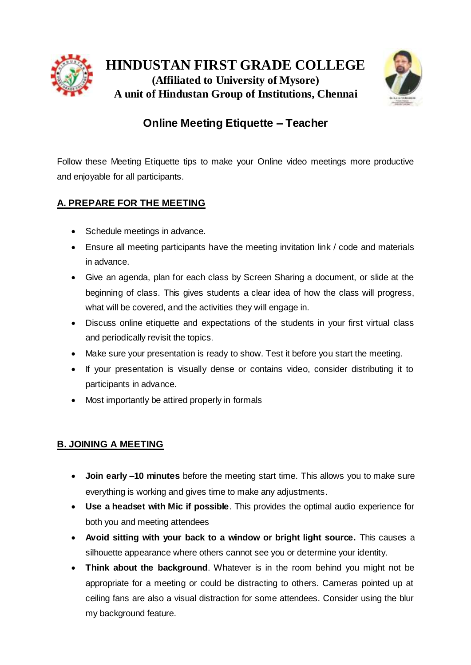



# **Online Meeting Etiquette – Teacher**

Follow these Meeting Etiquette tips to make your Online video meetings more productive and enjoyable for all participants.

# **A. PREPARE FOR THE MEETING**

- Schedule meetings in advance.
- Ensure all meeting participants have the meeting invitation link / code and materials in advance.
- Give an agenda, plan for each class by Screen Sharing a document, or slide at the beginning of class. This gives students a clear idea of how the class will progress, what will be covered, and the activities they will engage in.
- Discuss online etiquette and expectations of the students in your first virtual class and periodically revisit the topics.
- Make sure your presentation is ready to show. Test it before you start the meeting.
- If your presentation is visually dense or contains video, consider distributing it to participants in advance.
- Most importantly be attired properly in formals

## **B. JOINING A MEETING**

- **Join early –10 minutes** before the meeting start time. This allows you to make sure everything is working and gives time to make any adjustments.
- **Use a headset with Mic if possible**. This provides the optimal audio experience for both you and meeting attendees
- **Avoid sitting with your back to a window or bright light source.** This causes a silhouette appearance where others cannot see you or determine your identity.
- **Think about the background**. Whatever is in the room behind you might not be appropriate for a meeting or could be distracting to others. Cameras pointed up at ceiling fans are also a visual distraction for some attendees. Consider using the blur my background feature.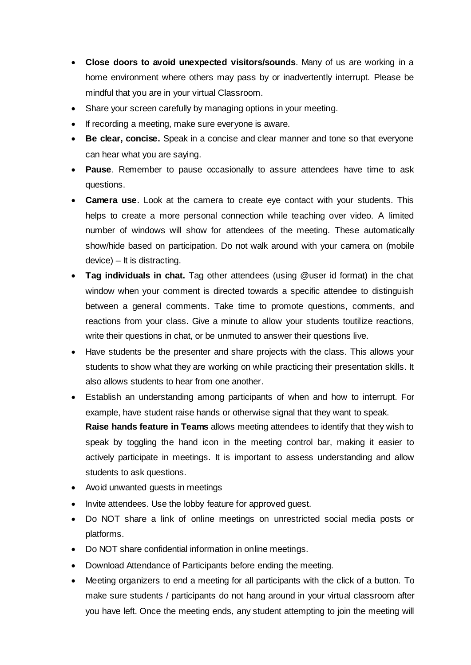- **Close doors to avoid unexpected visitors/sounds**. Many of us are working in a home environment where others may pass by or inadvertently interrupt. Please be mindful that you are in your virtual Classroom.
- Share your screen carefully by managing options in your meeting.
- If recording a meeting, make sure everyone is aware.
- **Be clear, concise.** Speak in a concise and clear manner and tone so that everyone can hear what you are saying.
- **Pause**. Remember to pause occasionally to assure attendees have time to ask questions.
- **Camera use**. Look at the camera to create eye contact with your students. This helps to create a more personal connection while teaching over video. A limited number of windows will show for attendees of the meeting. These automatically show/hide based on participation. Do not walk around with your camera on (mobile device) – It is distracting.
- **Tag individuals in chat.** Tag other attendees (using @user id format) in the chat window when your comment is directed towards a specific attendee to distinguish between a general comments. Take time to promote questions, comments, and reactions from your class. Give a minute to allow your students toutilize reactions, write their questions in chat, or be unmuted to answer their questions live.
- Have students be the presenter and share projects with the class. This allows your students to show what they are working on while practicing their presentation skills. It also allows students to hear from one another.
- Establish an understanding among participants of when and how to interrupt. For example, have student raise hands or otherwise signal that they want to speak. **Raise hands feature in Teams** allows meeting attendees to identify that they wish to speak by toggling the hand icon in the meeting control bar, making it easier to actively participate in meetings. It is important to assess understanding and allow students to ask questions.
- Avoid unwanted guests in meetings
- Invite attendees. Use the lobby feature for approved guest.
- Do NOT share a link of online meetings on unrestricted social media posts or platforms.
- Do NOT share confidential information in online meetings.
- Download Attendance of Participants before ending the meeting.
- Meeting organizers to end a meeting for all participants with the click of a button. To make sure students / participants do not hang around in your virtual classroom after you have left. Once the meeting ends, any student attempting to join the meeting will